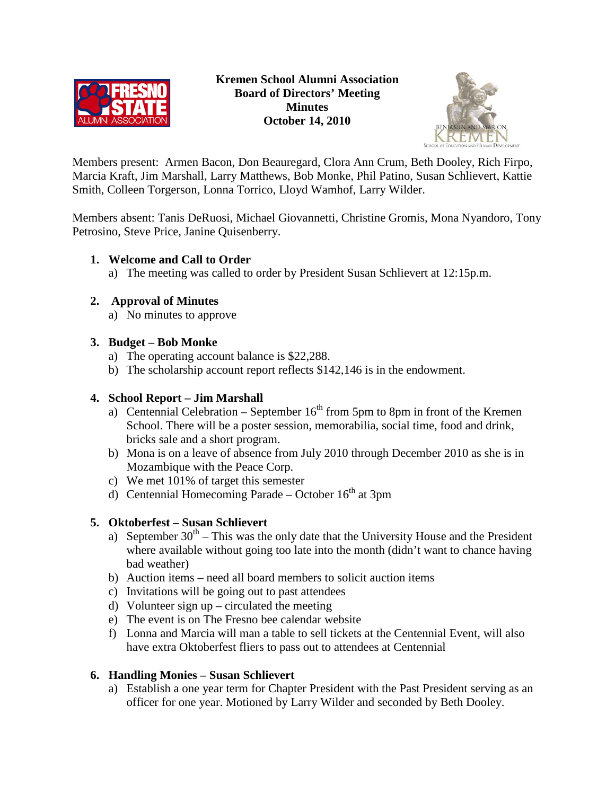



Members present: Armen Bacon, Don Beauregard, Clora Ann Crum, Beth Dooley, Rich Firpo, Marcia Kraft, Jim Marshall, Larry Matthews, Bob Monke, Phil Patino, Susan Schlievert, Kattie Smith, Colleen Torgerson, Lonna Torrico, Lloyd Wamhof, Larry Wilder.

Members absent: Tanis DeRuosi, Michael Giovannetti, Christine Gromis, Mona Nyandoro, Tony Petrosino, Steve Price, Janine Quisenberry.

## **1. Welcome and Call to Order**

a) The meeting was called to order by President Susan Schlievert at 12:15p.m.

# **2. Approval of Minutes**

a) No minutes to approve

## **3. Budget – Bob Monke**

- a) The operating account balance is \$22,288.
- b) The scholarship account report reflects \$142,146 is in the endowment.

# **4. School Report – Jim Marshall**

- a) Centennial Celebration September  $16<sup>th</sup>$  from 5pm to 8pm in front of the Kremen School. There will be a poster session, memorabilia, social time, food and drink, bricks sale and a short program.
- b) Mona is on a leave of absence from July 2010 through December 2010 as she is in Mozambique with the Peace Corp.
- c) We met 101% of target this semester
- d) Centennial Homecoming Parade October  $16<sup>th</sup>$  at 3pm

# **5. Oktoberfest – Susan Schlievert**

- a) September  $30<sup>th</sup> This was the only date that the University House and the President$ where available without going too late into the month (didn't want to chance having bad weather)
- b) Auction items need all board members to solicit auction items
- c) Invitations will be going out to past attendees
- d) Volunteer sign  $up$  circulated the meeting
- e) The event is on The Fresno bee calendar website
- f) Lonna and Marcia will man a table to sell tickets at the Centennial Event, will also have extra Oktoberfest fliers to pass out to attendees at Centennial

### **6. Handling Monies – Susan Schlievert**

a) Establish a one year term for Chapter President with the Past President serving as an officer for one year. Motioned by Larry Wilder and seconded by Beth Dooley.